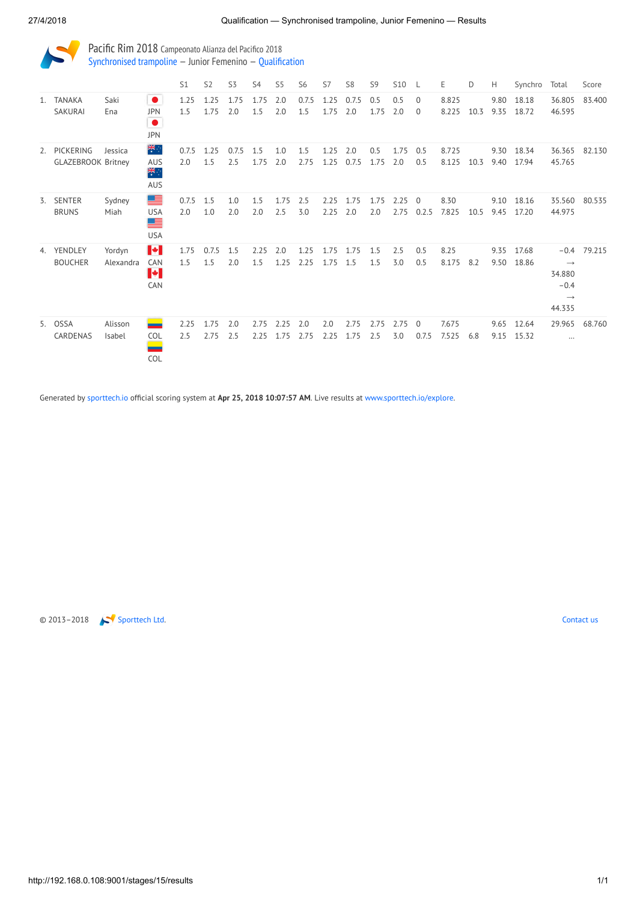Pacific Rim 2018 Campeonato Alianza del Pacifico 2018 [Synchronised trampoline](http://192.168.0.108:9001/event/SYN) — Junior Femenino — [Qualification](http://192.168.0.108:9001/stages/15)

|    |                                           |                     |                                                    | S1           | S <sub>2</sub> | S3           | S <sub>4</sub> | S <sub>5</sub> | S <sub>6</sub> | S7           | S <sub>8</sub> | S <sub>9</sub> | <b>S10</b>   | - L                      | E              | D    | Н            | Synchro        | Total                                                            | Score         |
|----|-------------------------------------------|---------------------|----------------------------------------------------|--------------|----------------|--------------|----------------|----------------|----------------|--------------|----------------|----------------|--------------|--------------------------|----------------|------|--------------|----------------|------------------------------------------------------------------|---------------|
|    | 1. TANAKA<br>SAKURAI                      | Saki<br>Ena         | $\bullet$<br><b>JPN</b><br>$\bullet$<br><b>JPN</b> | 1.25<br>1.5  | 1.25<br>1.75   | 1.75<br>2.0  | 1.75<br>1.5    | 2.0<br>2.0     | 0.7.5<br>1.5   | 1.25<br>1.75 | 0.7.5<br>2.0   | 0.5<br>1.75    | 0.5<br>2.0   | $\mathbf{0}$<br>$\Omega$ | 8.825<br>8.225 | 10.3 | 9.80<br>9.35 | 18.18<br>18.72 | 36.805<br>46.595                                                 | 83.400        |
|    | 2. PICKERING<br><b>GLAZEBROOK Britney</b> | Jessica             | ₩ा<br>AUS<br>¥<br><b>AUS</b>                       | 0.7.5<br>2.0 | 1.25<br>1.5    | 0.7.5<br>2.5 | 1.5<br>1.75    | 1.0<br>2.0     | 1.5<br>2.75    | 1.25<br>1.25 | 2.0<br>0.7.5   | 0.5<br>1.75    | 1.75<br>2.0  | 0.5<br>0.5               | 8.725<br>8.125 | 10.3 | 9.30<br>9.40 | 18.34<br>17.94 | 36.365<br>45.765                                                 | 82.130        |
| 3. | <b>SENTER</b><br><b>BRUNS</b>             | Sydney<br>Miah      | ≣<br><b>USA</b><br>≣<br><b>USA</b>                 | 0.7.5<br>2.0 | 1.5<br>1.0     | 1.0<br>2.0   | 1.5<br>2.0     | 1.75<br>2.5    | 2.5<br>3.0     | 2.25<br>2.25 | 1.75<br>2.0    | 1.75<br>2.0    | 2.25<br>2.75 | $\overline{0}$<br>0.2.5  | 8.30<br>7.825  | 10.5 | 9.10<br>9.45 | 18.16<br>17.20 | 35.560<br>44.975                                                 | 80.535        |
|    | 4. YENDLEY<br><b>BOUCHER</b>              | Yordyn<br>Alexandra | H<br>CAN<br>I÷I<br>CAN                             | 1.75<br>1.5  | 0.7.5<br>1.5   | 1.5<br>2.0   | 2.25<br>1.5    | 2.0<br>1.25    | 1.25<br>2.25   | 1.75<br>1.75 | 1.75<br>1.5    | 1.5<br>1.5     | 2.5<br>3.0   | 0.5<br>0.5               | 8.25<br>8.175  | 8.2  | 9.35<br>9.50 | 17.68<br>18.86 | $\rightarrow$<br>34.880<br>$-0.4$<br>$\longrightarrow$<br>44.335 | $-0.4$ 79.215 |
|    | 5. OSSA<br>CARDENAS                       | Alisson<br>Isabel   | - 1<br><b>COL</b><br>COL                           | 2.25<br>2.5  | 1.75<br>2.75   | 2.0<br>2.5   | 2.75<br>2.25   | 2.25<br>1.75   | 2.0<br>2.75    | 2.0<br>2.25  | 2.75<br>1.75   | 2.75<br>2.5    | 2.75<br>3.0  | $\Omega$<br>0.7.5        | 7.675<br>7.525 | 6.8  | 9.65<br>9.15 | 12.64<br>15.32 | 29.965<br>$\cdots$                                               | 68.760        |

Generated by [sporttech.io](https://sporttech.io/) official scoring system at Apr 25, 2018 10:07:57 AM. Live results at [www.sporttech.io/explore.](https://sporttech.io/explore)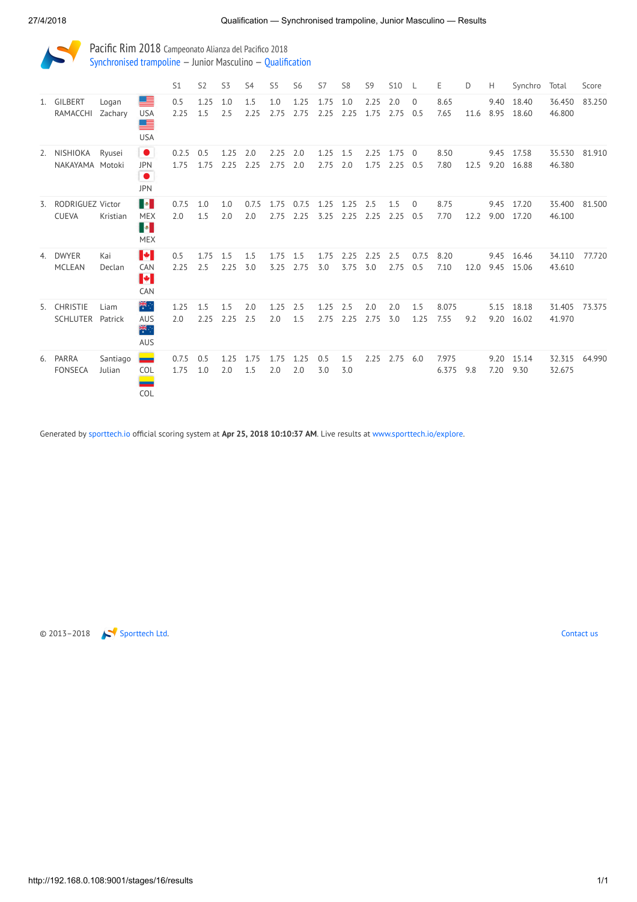Pacific Rim 2018 Campeonato Alianza del Pacifico 2018 [Synchronised trampoline](http://192.168.0.108:9001/event/SYN) — Junior Masculino — [Qualification](http://192.168.0.108:9001/stages/16)

|                                     |                    |                                                                                                                                                                                | S <sub>1</sub> | S <sub>2</sub> | S3           | S <sub>4</sub> | S <sub>5</sub> | S <sub>6</sub> | S7           | S <sub>8</sub> | S <sub>9</sub> | S10 L        |                 | Ε              | D    | H            | Synchro        | Total            | Score  |
|-------------------------------------|--------------------|--------------------------------------------------------------------------------------------------------------------------------------------------------------------------------|----------------|----------------|--------------|----------------|----------------|----------------|--------------|----------------|----------------|--------------|-----------------|----------------|------|--------------|----------------|------------------|--------|
| 1. GILBERT<br>RAMACCHI              | Logan<br>Zachary   | ≡<br><b>USA</b><br>▇<br><b>USA</b>                                                                                                                                             | 0.5<br>2.25    | 1.25<br>1.5    | 1.0<br>2.5   | 1.5<br>2.25    | 1.0<br>2.75    | 1.25<br>2.75   | 1.75<br>2.25 | 1.0<br>2.25    | 2.25<br>1.75   | 2.0<br>2.75  | $\Omega$<br>0.5 | 8.65<br>7.65   | 11.6 | 9.40<br>8.95 | 18.40<br>18.60 | 36.450<br>46.800 | 83.250 |
| 2. NISHIOKA<br>NAKAYAMA Motoki      | Ryusei             | $\bullet$<br><b>JPN</b><br>$\bullet$<br><b>JPN</b>                                                                                                                             | 0.2.5<br>1.75  | 0.5<br>1.75    | 1.25<br>2.25 | 2.0<br>2.25    | 2.25<br>2.75   | 2.0<br>2.0     | 1.25<br>2.75 | 1.5<br>2.0     | 2.25<br>1.75   | 1.75<br>2.25 | $\Omega$<br>0.5 | 8.50<br>7.80   | 12.5 | 9.45<br>9.20 | 17.58<br>16.88 | 35.530<br>46.380 | 81.910 |
| 3. RODRIGUEZ Victor<br><b>CUEVA</b> | Kristian           | $\begin{array}{ c c } \hline \multicolumn{1}{ c }{\bullet} & \multicolumn{1}{ c }{\bullet} \end{array}$<br><b>MEX</b><br>$\begin{bmatrix} \bullet \end{bmatrix}$<br><b>MEX</b> | 0.7.5<br>2.0   | 1.0<br>1.5     | 1.0<br>2.0   | 0.7.5<br>2.0   | 1.75<br>2.75   | 0.7.5<br>2.25  | 1.25<br>3.25 | 1.25<br>2.25   | 2.5<br>2.25    | 1.5<br>2.25  | $\Omega$<br>0.5 | 8.75<br>7.70   | 12.2 | 9.45<br>9.00 | 17.20<br>17.20 | 35.400<br>46.100 | 81.500 |
| 4. DWYER<br><b>MCLEAN</b>           | Kai<br>Declan      | H<br>CAN<br>H<br>CAN                                                                                                                                                           | 0.5<br>2.25    | 1.75<br>2.5    | 1.5<br>2.25  | 1.5<br>3.0     | 1.75<br>3.25   | 1.5<br>2.75    | 1.75<br>3.0  | 2.25<br>3.75   | 2.25<br>3.0    | 2.5<br>2.75  | 0.7.5<br>0.5    | 8.20<br>7.10   | 12.0 | 9.45<br>9.45 | 16.46<br>15.06 | 34.110<br>43.610 | 77.720 |
| 5. CHRISTIE<br>SCHLUTER Patrick     | Liam               | 業団<br><b>AUS</b><br>米拉<br><b>AUS</b>                                                                                                                                           | 1.25<br>2.0    | 1.5<br>2.25    | 1.5<br>2.25  | 2.0<br>2.5     | 1.25<br>2.0    | 2.5<br>1.5     | 1.25<br>2.75 | 2.5<br>2.25    | 2.0<br>2.75    | 2.0<br>3.0   | 1.5<br>1.25     | 8.075<br>7.55  | 9.2  | 5.15<br>9.20 | 18.18<br>16.02 | 31.405<br>41.970 | 73.375 |
| 6. PARRA<br><b>FONSECA</b>          | Santiago<br>Julian | $\equiv$<br>COL<br>COL                                                                                                                                                         | 0.7.5<br>1.75  | 0.5<br>1.0     | 1.25<br>2.0  | 1.75<br>1.5    | 1.75<br>2.0    | 1.25<br>2.0    | 0.5<br>3.0   | 1.5<br>3.0     | 2.25           | $2.75$ 6.0   |                 | 7.975<br>6.375 | 9.8  | 9.20<br>7.20 | 15.14<br>9.30  | 32.315<br>32.675 | 64.990 |

Generated by [sporttech.io](https://sporttech.io/) official scoring system at Apr 25, 2018 10:10:37 AM. Live results at [www.sporttech.io/explore.](https://sporttech.io/explore)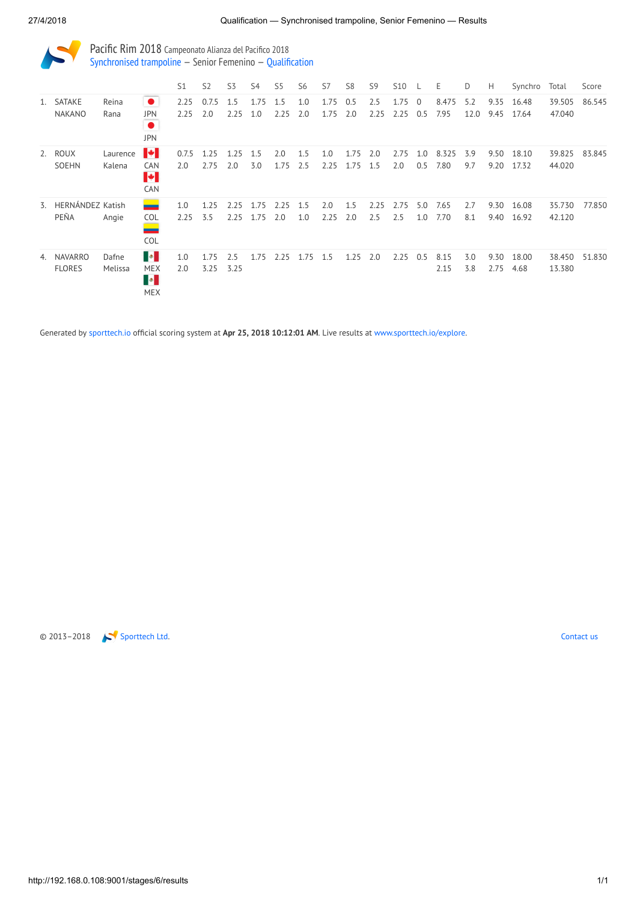| Pacific Rim 2018 Campeonato Alianza del Pacifico 2018         |
|---------------------------------------------------------------|
| Synchronised trampoline $-$ Senior Femenino $-$ Qualification |

|    |                                 |                    |                                                      | S <sub>1</sub> | S <sub>2</sub> | S3           | S4           | S5          | S <sub>6</sub> | S7           | S <sub>8</sub> | S <sub>9</sub> | <b>S10</b>   |                       | Ε             | D           | H            | Synchro        | Total            | Score  |
|----|---------------------------------|--------------------|------------------------------------------------------|----------------|----------------|--------------|--------------|-------------|----------------|--------------|----------------|----------------|--------------|-----------------------|---------------|-------------|--------------|----------------|------------------|--------|
|    | 1. SATAKE<br><b>NAKANO</b>      | Reina<br>Rana      | $\bullet$<br><b>JPN</b><br>$\bullet$<br><b>JPN</b>   | 2.25<br>2.25   | 0.7.5<br>2.0   | 1.5<br>2.25  | 1.75<br>1.0  | 1.5<br>2.25 | 1.0<br>2.0     | 1.75<br>1.75 | 0.5<br>2.0     | 2.5<br>2.25    | 1.75<br>2.25 | $\overline{0}$<br>0.5 | 8.475<br>7.95 | 5.2<br>12.0 | 9.35<br>9.45 | 16.48<br>17.64 | 39.505<br>47.040 | 86.545 |
|    | 2. ROUX<br><b>SOEHN</b>         | Laurence<br>Kalena | H<br><b>CAN</b><br>H.<br><b>CAN</b>                  | 0.7.5<br>2.0   | 1.25<br>2.75   | 1.25<br>2.0  | 1.5<br>3.0   | 2.0<br>1.75 | 1.5<br>2.5     | 1.0<br>2.25  | 1.75<br>1.75   | 2.0<br>1.5     | 2.75<br>2.0  | 1.0<br>0.5            | 8.325<br>7.80 | 3.9<br>9.7  | 9.50<br>9.20 | 18.10<br>17.32 | 39.825<br>44.020 | 83.845 |
| 3. | HERNÁNDEZ Katish<br>PEÑA        | Angie              | $\equiv$<br><b>COL</b><br><u>e e c</u><br><b>COL</b> | 1.0<br>2.25    | 1.25<br>3.5    | 2.25<br>2.25 | 1.75<br>1.75 | 2.25<br>2.0 | 1.5<br>1.0     | 2.0<br>2.25  | 1.5<br>2.0     | 2.25<br>2.5    | 2.75<br>2.5  | 5.0<br>1.0            | 7.65<br>7.70  | 2.7<br>8.1  | 9.30<br>9.40 | 16.08<br>16.92 | 35.730<br>42.120 | 77.850 |
| 4. | <b>NAVARRO</b><br><b>FLORES</b> | Dafne<br>Melissa   | HO<br><b>MEX</b><br>$\blacksquare$<br><b>MEX</b>     | 1.0<br>2.0     | 1.75<br>3.25   | 2.5<br>3.25  | 1.75         | 2.25        | 1.75           | 1.5          | 1.25           | 2.0            | 2.25         | 0.5                   | 8.15<br>2.15  | 3.0<br>3.8  | 9.30<br>2.75 | 18.00<br>4.68  | 38.450<br>13.380 | 51.830 |

Generated by [sporttech.io](https://sporttech.io/) official scoring system at Apr 25, 2018 10:12:01 AM. Live results at [www.sporttech.io/explore.](https://sporttech.io/explore)